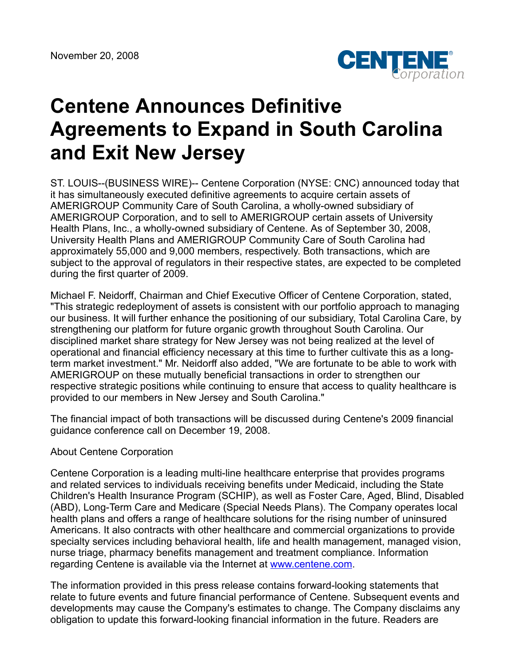

## **Centene Announces Definitive Agreements to Expand in South Carolina and Exit New Jersey**

ST. LOUIS--(BUSINESS WIRE)-- Centene Corporation (NYSE: CNC) announced today that it has simultaneously executed definitive agreements to acquire certain assets of AMERIGROUP Community Care of South Carolina, a wholly-owned subsidiary of AMERIGROUP Corporation, and to sell to AMERIGROUP certain assets of University Health Plans, Inc., a wholly-owned subsidiary of Centene. As of September 30, 2008, University Health Plans and AMERIGROUP Community Care of South Carolina had approximately 55,000 and 9,000 members, respectively. Both transactions, which are subject to the approval of regulators in their respective states, are expected to be completed during the first quarter of 2009.

Michael F. Neidorff, Chairman and Chief Executive Officer of Centene Corporation, stated, "This strategic redeployment of assets is consistent with our portfolio approach to managing our business. It will further enhance the positioning of our subsidiary, Total Carolina Care, by strengthening our platform for future organic growth throughout South Carolina. Our disciplined market share strategy for New Jersey was not being realized at the level of operational and financial efficiency necessary at this time to further cultivate this as a longterm market investment." Mr. Neidorff also added, "We are fortunate to be able to work with AMERIGROUP on these mutually beneficial transactions in order to strengthen our respective strategic positions while continuing to ensure that access to quality healthcare is provided to our members in New Jersey and South Carolina."

The financial impact of both transactions will be discussed during Centene's 2009 financial guidance conference call on December 19, 2008.

## About Centene Corporation

Centene Corporation is a leading multi-line healthcare enterprise that provides programs and related services to individuals receiving benefits under Medicaid, including the State Children's Health Insurance Program (SCHIP), as well as Foster Care, Aged, Blind, Disabled (ABD), Long-Term Care and Medicare (Special Needs Plans). The Company operates local health plans and offers a range of healthcare solutions for the rising number of uninsured Americans. It also contracts with other healthcare and commercial organizations to provide specialty services including behavioral health, life and health management, managed vision, nurse triage, pharmacy benefits management and treatment compliance. Information regarding Centene is available via the Internet at [www.centene.com](http://www.centene.com/).

The information provided in this press release contains forward-looking statements that relate to future events and future financial performance of Centene. Subsequent events and developments may cause the Company's estimates to change. The Company disclaims any obligation to update this forward-looking financial information in the future. Readers are